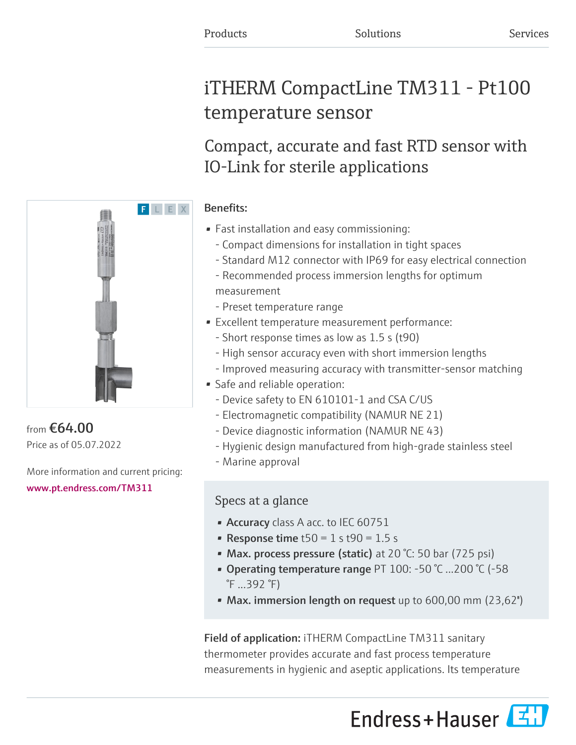# iTHERM CompactLine TM311 - Pt100 temperature sensor

## Compact, accurate and fast RTD sensor with IO-Link for sterile applications

## Benefits:

- Fast installation and easy commissioning:
	- Compact dimensions for installation in tight spaces
	- Standard M12 connector with IP69 for easy electrical connection
	- Recommended process immersion lengths for optimum measurement
	- Preset temperature range
- Excellent temperature measurement performance:
	- Short response times as low as 1.5 s (t90)
	- High sensor accuracy even with short immersion lengths
	- Improved measuring accuracy with transmitter-sensor matching
- Safe and reliable operation:
	- Device safety to EN 610101-1 and CSA C/US
	- Electromagnetic compatibility (NAMUR NE 21)
	- Device diagnostic information (NAMUR NE 43)
	- Hygienic design manufactured from high-grade stainless steel
	- Marine approval

## Specs at a glance

- Accuracy class A acc. to IEC 60751
- Response time  $t50 = 1$  s  $t90 = 1.5$  s
- Max. process pressure (static) at 20 °C: 50 bar (725 psi)
- Operating temperature range PT 100: -50 °C ...200 °C (-58 °F ...392 °F)
- Max. immersion length on request up to 600,00 mm (23,62")

Field of application: iTHERM CompactLine TM311 sanitary thermometer provides accurate and fast process temperature measurements in hygienic and aseptic applications. Its temperature





from €64.00 Price as of 05.07.2022

More information and current pricing:

## [www.pt.endress.com/TM311](https://www.pt.endress.com/TM311)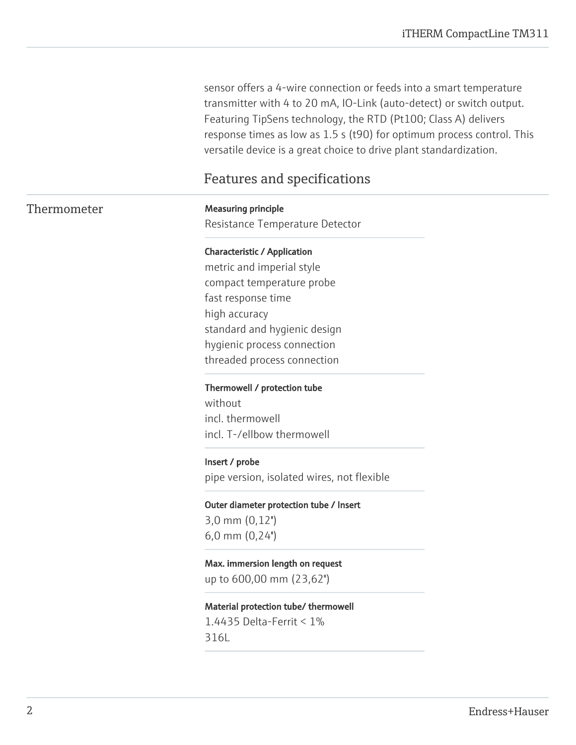sensor offers a 4-wire connection or feeds into a smart temperature transmitter with 4 to 20 mA, IO-Link (auto-detect) or switch output. Featuring TipSens technology, the RTD (Pt100; Class A) delivers response times as low as 1.5 s (t90) for optimum process control. This versatile device is a great choice to drive plant standardization.

## Features and specifications

## Thermometer Measuring principle

Resistance Temperature Detector

#### Characteristic / Application

metric and imperial style compact temperature probe fast response time high accuracy standard and hygienic design hygienic process connection threaded process connection

#### Thermowell / protection tube

without incl. thermowell incl. T-/ellbow thermowell

#### Insert / probe

pipe version, isolated wires, not flexible

Outer diameter protection tube / Insert 3,0 mm (0,12'') 6,0 mm (0,24'')

Max. immersion length on request up to 600,00 mm (23,62'')

Material protection tube/ thermowell 1.4435 Delta-Ferrit < 1% 316L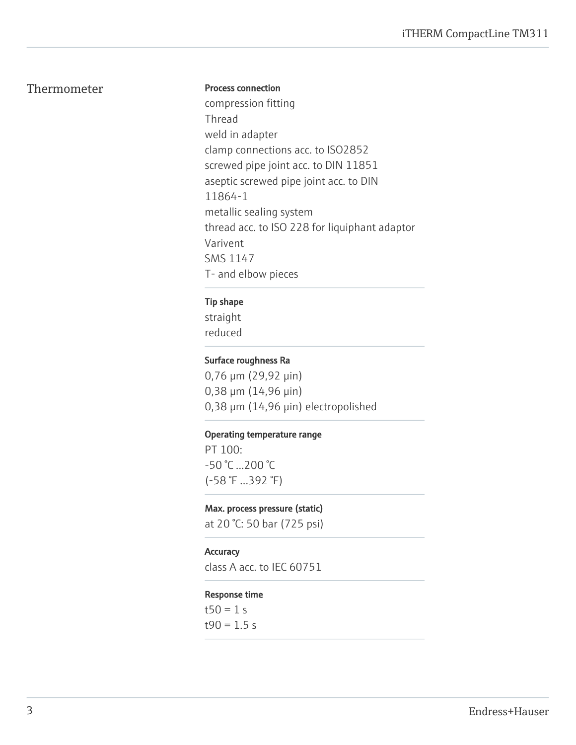## Thermometer

#### Process connection

compression fitting Thread weld in adapter clamp connections acc. to ISO2852 screwed pipe joint acc. to DIN 11851 aseptic screwed pipe joint acc. to DIN 11864-1 metallic sealing system thread acc. to ISO 228 for liquiphant adaptor Varivent SMS 1147 T- and elbow pieces

#### Tip shape

straight reduced

#### Surface roughness Ra

0,76 μm (29,92 μin) 0,38 μm (14,96 μin) 0,38 μm (14,96 μin) electropolished

#### Operating temperature range

PT 100: -50 °C ...200 °C (-58 °F ...392 °F)

#### Max. process pressure (static)

at 20 °C: 50 bar (725 psi)

#### **Accuracy**

class A acc. to IEC 60751

#### Response time

 $t50 = 1 s$  $t90 = 1.5 s$